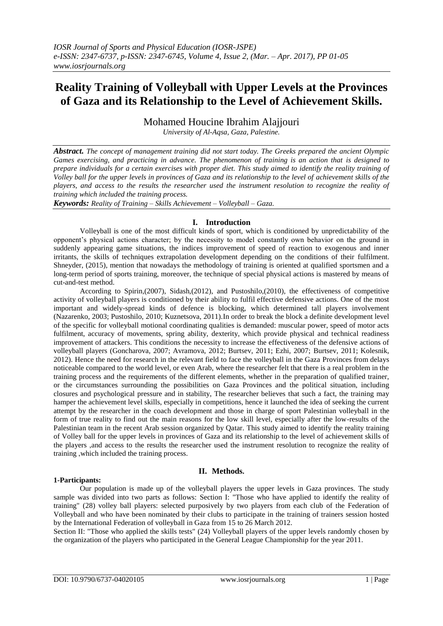# **Reality Training of Volleyball with Upper Levels at the Provinces of Gaza and its Relationship to the Level of Achievement Skills.**

Mohamed Houcine Ibrahim Alajjouri

*University of Al-Aqsa, Gaza, Palestine.*

*Abstract. The concept of management training did not start today. The Greeks prepared the ancient Olympic Games exercising, and practicing in advance. The phenomenon of training is an action that is designed to prepare individuals for a certain exercises with proper diet. This study aimed to identify the reality training of Volley ball for the upper levels in provinces of Gaza and its relationship to the level of achievement skills of the players, and access to the results the researcher used the instrument resolution to recognize the reality of training which included the training process.*

*Keywords: Reality of Training – Skills Achievement – Volleyball – Gaza.*

## **I. Introduction**

Volleyball is one of the most difficult kinds of sport, which is conditioned by unpredictability of the opponent's physical actions character; by the necessity to model constantly own behavior on the ground in suddenly appearing game situations, the indices improvement of speed of reaction to exogenous and inner irritants, the skills of techniques extrapolation development depending on the conditions of their fulfilment. Shneyder, (2015), mention that nowadays the methodology of training is oriented at qualified sportsmen and a long-term period of sports training, moreover, the technique of special physical actions is mastered by means of cut-and-test method.

According to Spirin,(2007), Sidash,(2012), and Pustoshilo,(2010), the effectiveness of competitive activity of volleyball players is conditioned by their ability to fulfil effective defensive actions. One of the most important and widely-spread kinds of defence is blocking, which determined tall players involvement (Nazarenko, 2003; Pustoshilo, 2010; Kuznetsova, 2011).In order to break the block a definite development level of the specific for volleyball motional coordinating qualities is demanded: muscular power, speed of motor acts fulfilment, accuracy of movements, spring ability, dexterity, which provide physical and technical readiness improvement of attackers. This conditions the necessity to increase the effectiveness of the defensive actions of volleyball players (Goncharova, 2007; Avramova, 2012; Burtsev, 2011; Ezhi, 2007; Burtsev, 2011; Kolesnik, 2012). Hence the need for research in the relevant field to face the volleyball in the Gaza Provinces from delays noticeable compared to the world level, or even Arab, where the researcher felt that there is a real problem in the training process and the requirements of the different elements, whether in the preparation of qualified trainer, or the circumstances surrounding the possibilities on Gaza Provinces and the political situation, including closures and psychological pressure and in stability, The researcher believes that such a fact, the training may hamper the achievement level skills, especially in competitions, hence it launched the idea of seeking the current attempt by the researcher in the coach development and those in charge of sport Palestinian volleyball in the form of true reality to find out the main reasons for the low skill level, especially after the low-results of the Palestinian team in the recent Arab session organized by Qatar. This study aimed to identify the reality training of Volley ball for the upper levels in provinces of Gaza and its relationship to the level of achievement skills of the players ,and access to the results the researcher used the instrument resolution to recognize the reality of training ,which included the training process.

#### **1-Participants:**

## **II. Methods.**

Our population is made up of the volleyball players the upper levels in Gaza provinces. The study sample was divided into two parts as follows: Section I: "Those who have applied to identify the reality of training" (28) volley ball players: selected purposively by two players from each club of the Federation of Volleyball and who have been nominated by their clubs to participate in the training of trainers session hosted by the International Federation of volleyball in Gaza from 15 to 26 March 2012.

Section II: "Those who applied the skills tests" (24) Volleyball players of the upper levels randomly chosen by the organization of the players who participated in the General League Championship for the year 2011.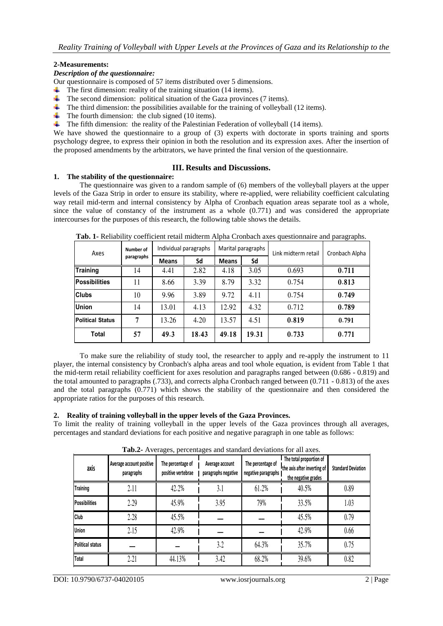## **2-Measurements:**

#### *Description of the questionnaire:*

Our questionnaire is composed of 57 items distributed over 5 dimensions.

- $\overline{\phantom{a}}$  The first dimension: reality of the training situation (14 items).
- $\ddot{\text{+}}$  The second dimension: political situation of the Gaza provinces (7 items).
- $\ddot{\text{+}}$  The third dimension: the possibilities available for the training of volleyball (12 items).
- $\downarrow$  The fourth dimension: the club signed (10 items).
- $\ddot{\text{I}}$  The fifth dimension: the reality of the Palestinian Federation of volleyball (14 items).

We have showed the questionnaire to a group of (3) experts with doctorate in sports training and sports psychology degree, to express their opinion in both the resolution and its expression axes. After the insertion of the proposed amendments by the arbitrators, we have printed the final version of the questionnaire.

## **III. Results and Discussions.**

#### **1. The stability of the questionnaire:**

The questionnaire was given to a random sample of (6) members of the volleyball players at the upper levels of the Gaza Strip in order to ensure its stability, where re-applied, were reliability coefficient calculating way retail mid-term and internal consistency by Alpha of Cronbach equation areas separate tool as a whole, since the value of constancy of the instrument as a whole  $(0.771)$  and was considered the appropriate intercourses for the purposes of this research, the following table shows the details.

| Axes                 | Number of  | Individual paragraphs |       |              | Marital paragraphs | Link midterm retail | Cronbach Alpha |  |
|----------------------|------------|-----------------------|-------|--------------|--------------------|---------------------|----------------|--|
|                      | paragraphs | <b>Means</b>          | Sd    | <b>Means</b> | Sd                 |                     |                |  |
| Training             | 14         | 4.41                  | 2.82  | 4.18         | 3.05               | 0.693               | 0.711          |  |
| <b>Possibilities</b> | 11         | 8.66                  | 3.39  | 8.79         | 3.32               | 0.754               | 0.813          |  |
| <b>Clubs</b>         | 10         | 9.96                  | 3.89  | 9.72         | 4.11               | 0.754               | 0.749          |  |
| Union                | 14         | 13.01                 | 4.13  | 12.92        | 4.32               | 0.712               | 0.789          |  |
| Political Status     | 7          | 13.26                 | 4.20  | 13.57        | 4.51               | 0.819               | 0.791          |  |
| Total                | 57         | 49.3                  | 18.43 | 49.18        | 19.31              | 0.733               | 0.771          |  |

**Tab. 1-** Reliability coefficient retail midterm Alpha Cronbach axes questionnaire and paragraphs.

To make sure the reliability of study tool, the researcher to apply and re-apply the instrument to 11 player, the internal consistency by Cronbach's alpha areas and tool whole equation, is evident from Table 1 that the mid-term retail reliability coefficient for axes resolution and paragraphs ranged between (0.686 - 0.819) and the total amounted to paragraphs (.733), and corrects alpha Cronbach ranged between (0.711 - 0.813) of the axes and the total paragraphs (0.771) which shows the stability of the questionnaire and then considered the appropriate ratios for the purposes of this research.

## **2. Reality of training volleyball in the upper levels of the Gaza Provinces.**

To limit the reality of training volleyball in the upper levels of the Gaza provinces through all averages, percentages and standard deviations for each positive and negative paragraph in one table as follows:

| axis                    | Average account positive<br>The percentage of<br>positive vertebrae<br>paragraphs |        | Average account<br>paragraphs negative | The percentage of<br>negative paragraphs | The total proportion of<br>the axis after inverting of<br>the negative grades | <b>Standard Deviation</b> |  |
|-------------------------|-----------------------------------------------------------------------------------|--------|----------------------------------------|------------------------------------------|-------------------------------------------------------------------------------|---------------------------|--|
| <b>Training</b>         | 2.11                                                                              | 42.2%  | 3.1                                    | 61.2%                                    | 40.5%                                                                         | 0.89                      |  |
| <b>Possibilities</b>    | 2.29                                                                              | 45.9%  | 3.95                                   | 79%                                      | 33.5%                                                                         | 1.03                      |  |
| Club                    | 2.28                                                                              | 45.5%  |                                        |                                          | 45.5%                                                                         | 0.79                      |  |
| <b>Union</b>            | 2.15                                                                              | 42.9%  |                                        |                                          | 42.9%                                                                         | 0.66                      |  |
| <b>Political status</b> |                                                                                   |        | 3.2                                    | 64.3%                                    | 35.7%                                                                         | 0.75                      |  |
| Total                   | 2.21                                                                              | 44.13% | 3.42                                   | 68.2%                                    | 39.6%                                                                         | 0.82                      |  |

**Tab.2-** Averages, percentages and standard deviations for all axes.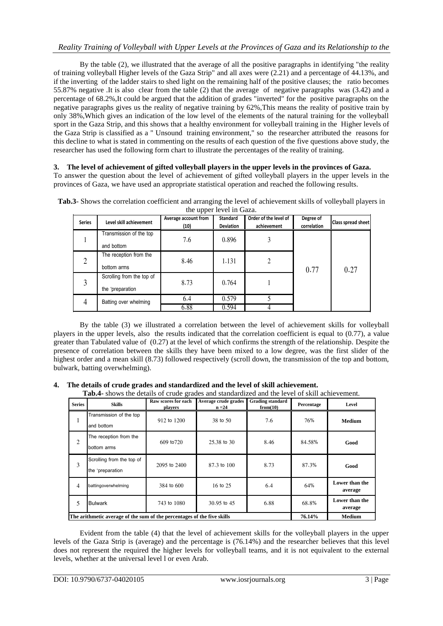By the table (2), we illustrated that the average of all the positive paragraphs in identifying "the reality of training volleyball Higher levels of the Gaza Strip" and all axes were (2.21) and a percentage of 44.13%, and if the inverting of the ladder stairs to shed light on the remaining half of the positive clauses; the ratio becomes 55.87% negative .It is also clear from the table (2) that the average of negative paragraphs was (3.42) and a percentage of 68.2%,It could be argued that the addition of grades "inverted" for the positive paragraphs on the negative paragraphs gives us the reality of negative training by 62%,This means the reality of positive train by only 38%,Which gives an indication of the low level of the elements of the natural training for the volleyball sport in the Gaza Strip, and this shows that a healthy environment for volleyball training in the Higher levels of the Gaza Strip is classified as a " Unsound training environment," so the researcher attributed the reasons for this decline to what is stated in commenting on the results of each question of the five questions above study, the researcher has used the following form chart to illustrate the percentages of the reality of training.

## **3. The level of achievement of gifted volleyball players in the upper levels in the provinces of Gaza.**

To answer the question about the level of achievement of gifted volleyball players in the upper levels in the provinces of Gaza, we have used an appropriate statistical operation and reached the following results.

| <b>Series</b> | Level skill achievement                        | Average account from<br>(10) | <b>Standard</b><br><b>Deviation</b> | Order of the level of<br>achievement | Degree of<br>correlation | Class spread sheet |  |
|---------------|------------------------------------------------|------------------------------|-------------------------------------|--------------------------------------|--------------------------|--------------------|--|
|               | Transmission of the top<br>and bottom          | 7.6                          | 0.896                               |                                      |                          |                    |  |
| 2             | The reception from the<br>bottom arms          | 8.46                         | 1.131                               | 2                                    | 0.77                     | 0.27               |  |
| 3             | Scrolling from the top of<br>the "preparation" | 8.73                         |                                     |                                      |                          |                    |  |
|               | Batting over whelming                          | 6.4<br>6.88                  | 0.579<br>0.594                      |                                      |                          |                    |  |

| Tab.3- Shows the correlation coefficient and arranging the level of achievement skills of volleyball players in |
|-----------------------------------------------------------------------------------------------------------------|
| the upper level in Gaza.                                                                                        |

By the table (3) we illustrated a correlation between the level of achievement skills for volleyball players in the upper levels, also the results indicated that the correlation coefficient is equal to (0.77), a value greater than Tabulated value of (0.27) at the level of which confirms the strength of the relationship. Despite the presence of correlation between the skills they have been mixed to a low degree, was the first slider of the highest order and a mean skill (8.73) followed respectively (scroll down, the transmission of the top and bottom, bulwark, batting overwhelming).

## **4. The details of crude grades and standardized and the level of skill achievement.**

**Tab.4-** shows the details of crude grades and standardized and the level of skill achievement.

| <b>Series</b>  | <b>Skills</b>                                                           | Raw scores for each<br>players | Average crude grades<br>$n = 24$ | <b>Grading standard</b><br>from(10) | Percentage | Level                     |
|----------------|-------------------------------------------------------------------------|--------------------------------|----------------------------------|-------------------------------------|------------|---------------------------|
| ı              | Transmission of the top<br>and bottom                                   | 912 to 1200                    | 38 to 50                         | 7.6                                 | 76%        | <b>Medium</b>             |
| $\overline{c}$ | The reception from the<br>bottom arms                                   | 609 to 720                     | 25,38 to 30                      | 8.46                                | 84.58%     | Good                      |
| 3              | Scrolling from the top of<br>the "preparation"                          | $2095$ to $2400$               | 87.3 to 100                      | 8.73                                | 87.3%      | Good                      |
| 4              | battingoverwhelming                                                     | 384 to 600                     | 16 to 25                         | 6.4                                 | 64%        | Lower than the<br>average |
| 5              | <b>Bulwark</b>                                                          | 743 to 1080                    | 30.95 to 45                      | 6.88                                | 68.8%      | Lower than the<br>average |
|                | The arithmetic average of the sum of the percentages of the five skills |                                |                                  |                                     | 76.14%     | <b>Medium</b>             |

Evident from the table (4) that the level of achievement skills for the volleyball players in the upper levels of the Gaza Strip is (average) and the percentage is (76.14%) and the researcher believes that this level does not represent the required the higher levels for volleyball teams, and it is not equivalent to the external levels, whether at the universal level l or even Arab.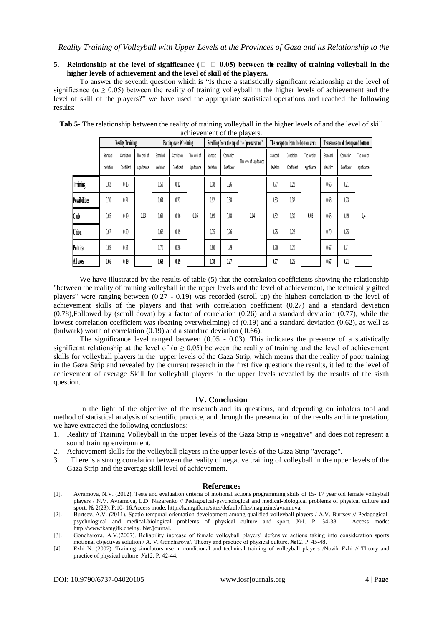#### **5. Relationship at the level of significance (** $\Box$ **)**  $\Box$  0.05) between the reality of training volleyball in the **higher levels of achievement and the level of skill of the players.**

To answer the seventh question which is "Is there a statistically significant relationship at the level of significance ( $\alpha \ge 0.05$ ) between the reality of training volleyball in the higher levels of achievement and the level of skill of the players?" we have used the appropriate statistical operations and reached the following results:

|                      | <b>Reality Training</b> |                            | <b>Batting over Whelming</b> |                       |                            | Scrolling from the top of the "preparation" |                       |                            | The reception from the bottom arms |                       |                            | Transmission of the top and bottom |                       |                            |                              |
|----------------------|-------------------------|----------------------------|------------------------------|-----------------------|----------------------------|---------------------------------------------|-----------------------|----------------------------|------------------------------------|-----------------------|----------------------------|------------------------------------|-----------------------|----------------------------|------------------------------|
|                      | Standard<br>deviation   | Correlation<br>Coefficient | The level of<br>significance | Standard<br>deviation | Correlation<br>Coefficient | The level of<br>significance                | Standard<br>deviation | Correlation<br>Coefficient | The level of significance          | Standard<br>deviation | Correlation<br>Coefficient | The level of<br>significance       | Standard<br>deviation | Correlation<br>Coefficient | The level of<br>significance |
| Training             | 0.63                    | 0.15                       |                              | 0.59                  | 0.12                       |                                             | 0.78                  | 0.26                       |                                    | 0.77                  | 0.28                       | 0.03                               | 0.66                  | 0.21                       | 0,4                          |
| <b>Possibilities</b> | 0.70                    | 0.21                       |                              | 0.64                  | 0.23                       | 0.05                                        | 0.92                  | 0.38                       | 0.04                               | 0.83                  | 0.32                       |                                    | 0.68                  | 0.23                       |                              |
| Club                 | 0.65                    | 0.19                       | 0.03                         | 0.61                  | 0.16                       |                                             | 0.69                  | 0.18                       |                                    | 0.82                  | 0.30                       |                                    | 0.65                  | 0.19                       |                              |
| Union                | 0.67                    | 0.20                       |                              | 0.62                  | 0.19                       |                                             | 0.75                  | 0.26                       |                                    | 0.75                  | 0.23                       |                                    | 0.70                  | 0.25                       |                              |
| <b>Political</b>     | 0.69                    | 0.21                       |                              | 0.70                  | 0.26                       |                                             | 0.80                  | 0.29                       |                                    | 0.70                  | 0.20                       |                                    | 0.67                  | 0.21                       |                              |
| All axes             | 0.66                    | 0.19                       |                              | 0.63                  | 0.19                       |                                             | 0.78                  | 0.27                       |                                    | 0.77                  | 0.26                       |                                    | 0.67                  | 0.21                       |                              |

**Tab.5-** The relationship between the reality of training volleyball in the higher levels of and the level of skill achievement of the players.

We have illustrated by the results of table (5) that the correlation coefficients showing the relationship "between the reality of training volleyball in the upper levels and the level of achievement, the technically gifted players" were ranging between (0.27 - 0.19) was recorded (scroll up) the highest correlation to the level of achievement skills of the players and that with correlation coefficient (0.27) and a standard deviation (0.78),Followed by (scroll down) by a factor of correlation (0.26) and a standard deviation (0.77), while the lowest correlation coefficient was (beating overwhelming) of (0.19) and a standard deviation (0.62), as well as (bulwark) worth of correlation (0.19) and a standard deviation ( 0.66).

The significance level ranged between (0.05 - 0.03). This indicates the presence of a statistically significant relationship at the level of ( $\alpha$  > 0.05) between the reality of training and the level of achievement skills for volleyball players in the upper levels of the Gaza Strip, which means that the reality of poor training in the Gaza Strip and revealed by the current research in the first five questions the results, it led to the level of achievement of average Skill for volleyball players in the upper levels revealed by the results of the sixth question.

#### **IV. Conclusion**

In the light of the objective of the research and its questions, and depending on inhalers tool and method of statistical analysis of scientific practice, and through the presentation of the results and interpretation, we have extracted the following conclusions:

- 1. Reality of Training Volleyball in the upper levels of the Gaza Strip is «negative" and does not represent a sound training environment.
- 2. Achievement skills for the volleyball players in the upper levels of the Gaza Strip "average".
- 3. . There is a strong correlation between the reality of negative training of volleyball in the upper levels of the Gaza Strip and the average skill level of achievement.

#### **References**

- [1]. Avramova, N.V. (2012). Tests and evaluation criteria of motional actions programming skills of 15- 17 year old female volleyball players / N.V. Avramova, L.D. Nazarenko // Pedagogical-psychological and medical-biological problems of physical culture and sport. № 2(23). P.10- 16.Access mode: http://kamgifk.ru/sites/default/files/magazine/avramova.
- [2]. Burtsev, A.V. (2011). Spatio-temporal orientation development among qualified volleyball players / A.V. Burtsev // Pedagogicalpsychological and medical-biological problems of physical culture and sport. №1. P. 34-38. – Access mode: http://www/kamgifk.chelny. Net/journal.
- [3]. Goncharova, A.V.(2007). Reliability increase of female volleyball players' defensive actions taking into consideration sports motional objectives solution / A. V. Goncharova// Theory and practice of physical culture. №12. P. 45-48.
- [4]. Ezhi N. (2007). Training simulators use in conditional and technical training of volleyball players /Novik Ezhi // Theory and practice of physical culture. №12. P. 42-44.